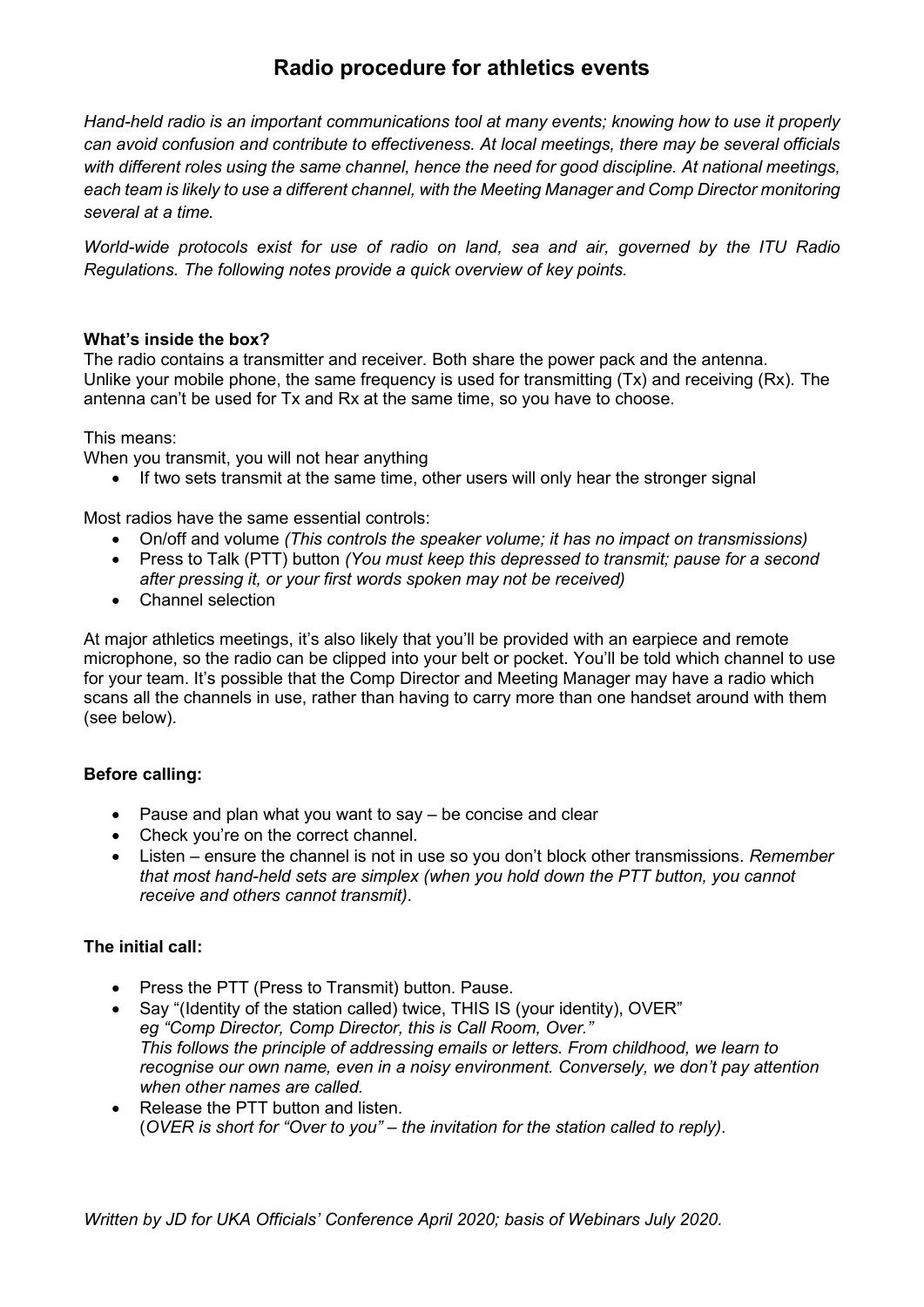# **Radio procedure for athletics events**

*Hand-held radio is an important communications tool at many events; knowing how to use it properly can avoid confusion and contribute to effectiveness. At local meetings, there may be several officials with different roles using the same channel, hence the need for good discipline. At national meetings, each team is likely to use a different channel, with the Meeting Manager and Comp Director monitoring several at a time.* 

*World-wide protocols exist for use of radio on land, sea and air, governed by the ITU Radio Regulations. The following notes provide a quick overview of key points.*

## **What's inside the box?**

The radio contains a transmitter and receiver. Both share the power pack and the antenna. Unlike your mobile phone, the same frequency is used for transmitting (Tx) and receiving (Rx). The antenna can't be used for Tx and Rx at the same time, so you have to choose.

This means:

When you transmit, you will not hear anything

• If two sets transmit at the same time, other users will only hear the stronger signal

Most radios have the same essential controls:

- On/off and volume *(This controls the speaker volume; it has no impact on transmissions)*
- Press to Talk (PTT) button *(You must keep this depressed to transmit; pause for a second after pressing it, or your first words spoken may not be received)*
- Channel selection

At major athletics meetings, it's also likely that you'll be provided with an earpiece and remote microphone, so the radio can be clipped into your belt or pocket. You'll be told which channel to use for your team. It's possible that the Comp Director and Meeting Manager may have a radio which scans all the channels in use, rather than having to carry more than one handset around with them (see below).

# **Before calling:**

- Pause and plan what you want to say be concise and clear
- Check you're on the correct channel.
- Listen ensure the channel is not in use so you don't block other transmissions. *Remember that most hand-held sets are simplex (when you hold down the PTT button, you cannot receive and others cannot transmit)*.

# **The initial call:**

- Press the PTT (Press to Transmit) button. Pause.
- Say "(Identity of the station called) twice, THIS IS (your identity), OVER" *eg "Comp Director, Comp Director, this is Call Room, Over." This follows the principle of addressing emails or letters. From childhood, we learn to recognise our own name, even in a noisy environment. Conversely, we don't pay attention when other names are called.*
- Release the PTT button and listen. (*OVER is short for "Over to you" – the invitation for the station called to reply)*.